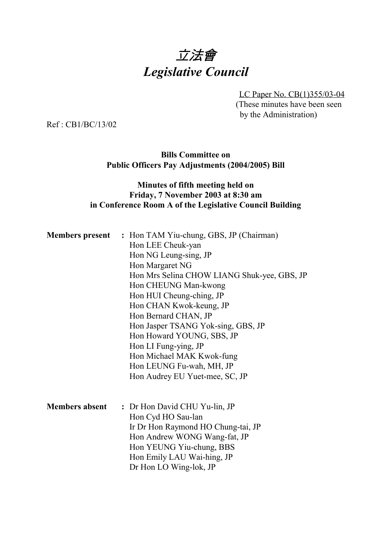# 立法會 *Legislative Council*

LC Paper No. CB(1)355/03-04 (These minutes have been seen by the Administration)

Ref : CB1/BC/13/02

#### **Bills Committee on Public Officers Pay Adjustments (2004/2005) Bill**

## **Minutes of fifth meeting held on Friday, 7 November 2003 at 8:30 am in Conference Room A of the Legislative Council Building**

|                       | <b>Members present : Hon TAM Yiu-chung, GBS, JP (Chairman)</b><br>Hon LEE Cheuk-yan<br>Hon NG Leung-sing, JP<br>Hon Margaret NG<br>Hon Mrs Selina CHOW LIANG Shuk-yee, GBS, JP<br>Hon CHEUNG Man-kwong |
|-----------------------|--------------------------------------------------------------------------------------------------------------------------------------------------------------------------------------------------------|
|                       | Hon HUI Cheung-ching, JP                                                                                                                                                                               |
|                       | Hon CHAN Kwok-keung, JP<br>Hon Bernard CHAN, JP                                                                                                                                                        |
|                       | Hon Jasper TSANG Yok-sing, GBS, JP<br>Hon Howard YOUNG, SBS, JP                                                                                                                                        |
|                       | Hon LI Fung-ying, JP                                                                                                                                                                                   |
|                       | Hon Michael MAK Kwok-fung<br>Hon LEUNG Fu-wah, MH, JP                                                                                                                                                  |
|                       | Hon Audrey EU Yuet-mee, SC, JP                                                                                                                                                                         |
|                       |                                                                                                                                                                                                        |
| <b>Members absent</b> | : Dr Hon David CHU Yu-lin, JP<br>Hon Cyd HO Sau-lan                                                                                                                                                    |
|                       | Ir Dr Hon Raymond HO Chung-tai, JP                                                                                                                                                                     |
|                       | Hon Andrew WONG Wang-fat, JP                                                                                                                                                                           |
|                       | Hon YEUNG Yiu-chung, BBS                                                                                                                                                                               |
|                       | Hon Emily LAU Wai-hing, JP<br>Dr Hon LO Wing-lok, JP                                                                                                                                                   |
|                       |                                                                                                                                                                                                        |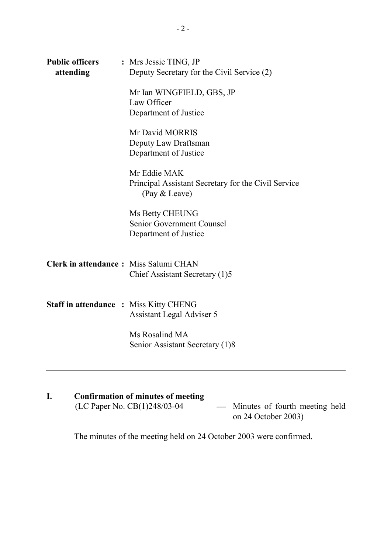| <b>Public officers</b><br>attending           | : Mrs Jessie TING, JP<br>Deputy Secretary for the Civil Service (2)                  |
|-----------------------------------------------|--------------------------------------------------------------------------------------|
|                                               | Mr Ian WINGFIELD, GBS, JP<br>Law Officer<br>Department of Justice                    |
|                                               | Mr David MORRIS<br>Deputy Law Draftsman<br>Department of Justice                     |
|                                               | Mr Eddie MAK<br>Principal Assistant Secretary for the Civil Service<br>(Pay & Leave) |
|                                               | Ms Betty CHEUNG<br>Senior Government Counsel<br>Department of Justice                |
| Clerk in attendance: Miss Salumi CHAN         | Chief Assistant Secretary (1)5                                                       |
| <b>Staff in attendance : Miss Kitty CHENG</b> | <b>Assistant Legal Adviser 5</b>                                                     |
|                                               | Ms Rosalind MA<br>Senior Assistant Secretary (1)8                                    |

## **I.** Confirmation of minutes of meeting<br>(LC Paper No. CB(1)248/03-04 (LC Paper No. CB(1)248/03-04 Minutes of fourth meeting held on 24 October 2003)

The minutes of the meeting held on 24 October 2003 were confirmed.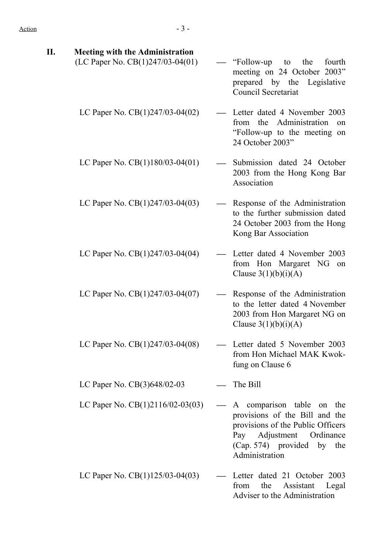| П. | <b>Meeting with the Administration</b><br>(LC Paper No. CB(1)247/03-04(01) | "Follow-up"<br>the<br>fourth<br>to<br>meeting on 24 October 2003"<br>prepared by the Legislative<br><b>Council Secretariat</b>                                               |
|----|----------------------------------------------------------------------------|------------------------------------------------------------------------------------------------------------------------------------------------------------------------------|
|    | LC Paper No. $CB(1)247/03-04(02)$                                          | Letter dated 4 November 2003<br>the Administration<br>from<br>on<br>"Follow-up to the meeting on<br>24 October 2003"                                                         |
|    | LC Paper No. $CB(1)180/03-04(01)$                                          | Submission dated 24 October<br>2003 from the Hong Kong Bar<br>Association                                                                                                    |
|    | LC Paper No. $CB(1)247/03-04(03)$                                          | Response of the Administration<br>to the further submission dated<br>24 October 2003 from the Hong<br>Kong Bar Association                                                   |
|    | LC Paper No. $CB(1)247/03-04(04)$                                          | Letter dated 4 November 2003<br>from Hon Margaret NG on<br>Clause $3(1)(b)(i)(A)$                                                                                            |
|    | LC Paper No. $CB(1)247/03-04(07)$                                          | Response of the Administration<br>to the letter dated 4 November<br>2003 from Hon Margaret NG on<br>Clause $3(1)(b)(i)(A)$                                                   |
|    | LC Paper No. CB(1)247/03-04(08)                                            | Letter dated 5 November 2003<br>from Hon Michael MAK Kwok-<br>fung on Clause 6                                                                                               |
|    | LC Paper No. CB(3)648/02-03                                                | The Bill                                                                                                                                                                     |
|    | LC Paper No. CB(1)2116/02-03(03)                                           | A comparison table on the<br>provisions of the Bill and the<br>provisions of the Public Officers<br>Pay Adjustment Ordinance<br>(Cap. 574) provided by the<br>Administration |
|    | LC Paper No. $CB(1)125/03-04(03)$                                          | Letter dated 21 October 2003<br>the<br>Assistant<br>from<br>Legal<br>Adviser to the Administration                                                                           |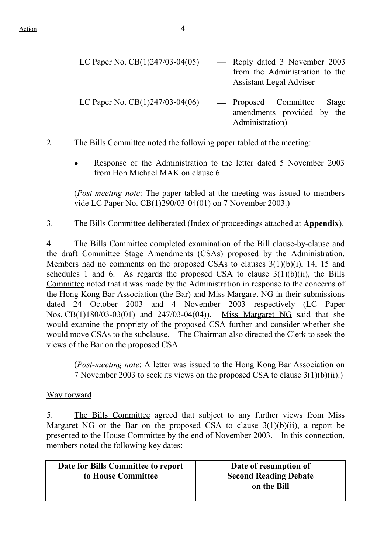| LC Paper No. $CB(1)247/03-04(05)$ | - Reply dated 3 November 2003<br>from the Administration to the<br><b>Assistant Legal Adviser</b> |
|-----------------------------------|---------------------------------------------------------------------------------------------------|
| LC Paper No. $CB(1)247/03-04(06)$ | — Proposed Committee<br>Stage<br>amendments provided by the<br>Administration)                    |

2. The Bills Committee noted the following paper tabled at the meeting:

• Response of the Administration to the letter dated 5 November 2003 from Hon Michael MAK on clause 6

(*Post-meeting note*: The paper tabled at the meeting was issued to members vide LC Paper No. CB(1)290/03-04(01) on 7 November 2003.)

3. The Bills Committee deliberated (Index of proceedings attached at **Appendix**).

4. The Bills Committee completed examination of the Bill clause-by-clause and the draft Committee Stage Amendments (CSAs) proposed by the Administration. Members had no comments on the proposed CSAs to clauses 3(1)(b)(i), 14, 15 and schedules 1 and 6. As regards the proposed CSA to clause  $3(1)(b)(ii)$ , the Bills Committee noted that it was made by the Administration in response to the concerns of the Hong Kong Bar Association (the Bar) and Miss Margaret NG in their submissions dated 24 October 2003 and 4 November 2003 respectively (LC Paper Nos. CB(1)180/03-03(01) and 247/03-04(04)). Miss Margaret NG said that she would examine the propriety of the proposed CSA further and consider whether she would move CSAs to the subclause. The Chairman also directed the Clerk to seek the views of the Bar on the proposed CSA.

(*Post-meeting note*: A letter was issued to the Hong Kong Bar Association on 7 November 2003 to seek its views on the proposed CSA to clause 3(1)(b)(ii).)

#### Way forward

5. The Bills Committee agreed that subject to any further views from Miss Margaret NG or the Bar on the proposed CSA to clause  $3(1)(b)(ii)$ , a report be presented to the House Committee by the end of November 2003. In this connection, members noted the following key dates:

| Date for Bills Committee to report | Date of resumption of        |
|------------------------------------|------------------------------|
| to House Committee                 | <b>Second Reading Debate</b> |
|                                    | on the Bill                  |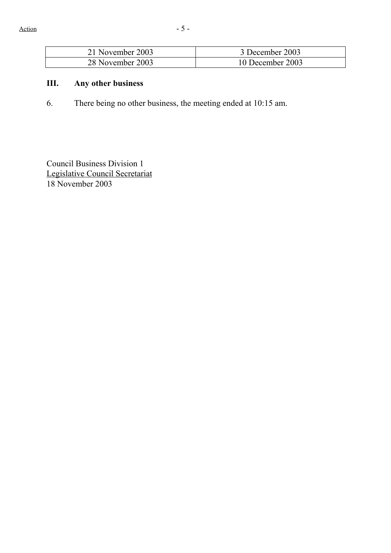| 21 November 2003 | 3 December 2003  |
|------------------|------------------|
| 28 November 2003 | 10 December 2003 |

# **III. Any other business**

6. There being no other business, the meeting ended at 10:15 am.

Council Business Division 1 Legislative Council Secretariat 18 November 2003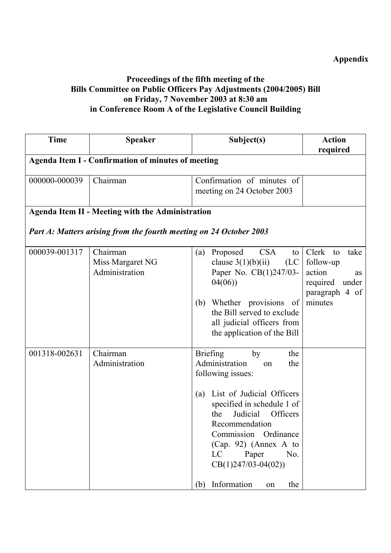# **Appendix**

## **Proceedings of the fifth meeting of the Bills Committee on Public Officers Pay Adjustments (2004/2005) Bill on Friday, 7 November 2003 at 8:30 am in Conference Room A of the Legislative Council Building**

| <b>Time</b>   | <b>Speaker</b>                                                     | Subject(s)                                                                                                                                                                                                                                                                                                                                      | <b>Action</b>                                                                                      |
|---------------|--------------------------------------------------------------------|-------------------------------------------------------------------------------------------------------------------------------------------------------------------------------------------------------------------------------------------------------------------------------------------------------------------------------------------------|----------------------------------------------------------------------------------------------------|
|               | <b>Agenda Item I - Confirmation of minutes of meeting</b>          |                                                                                                                                                                                                                                                                                                                                                 | required                                                                                           |
|               |                                                                    |                                                                                                                                                                                                                                                                                                                                                 |                                                                                                    |
| 000000-000039 | Chairman                                                           | Confirmation of minutes of<br>meeting on 24 October 2003                                                                                                                                                                                                                                                                                        |                                                                                                    |
|               | <b>Agenda Item II - Meeting with the Administration</b>            |                                                                                                                                                                                                                                                                                                                                                 |                                                                                                    |
|               | Part A: Matters arising from the fourth meeting on 24 October 2003 |                                                                                                                                                                                                                                                                                                                                                 |                                                                                                    |
| 000039-001317 | Chairman<br>Miss Margaret NG<br>Administration                     | <b>CSA</b><br>Proposed<br>(a)<br>to 1<br>clause $3(1)(b)(ii)$<br>(LC)<br>Paper No. CB(1)247/03-<br>04(06)<br>Whether provisions<br>of<br>(b)<br>the Bill served to exclude<br>all judicial officers from<br>the application of the Bill                                                                                                         | Clerk<br>take<br>to<br>follow-up<br>action<br>as<br>under<br>required<br>paragraph 4 of<br>minutes |
| 001318-002631 | Chairman<br>Administration                                         | <b>Briefing</b><br>the<br>by<br>Administration<br>the<br>on<br>following issues:<br>List of Judicial Officers<br>(a)<br>specified in schedule 1 of<br>Judicial<br><b>Officers</b><br>the<br>Recommendation<br>Commission Ordinance<br>$(Cap. 92)$ (Annex A to<br>Paper<br>LC<br>No.<br>$CB(1)247/03-04(02))$<br>Information<br>(b)<br>the<br>on |                                                                                                    |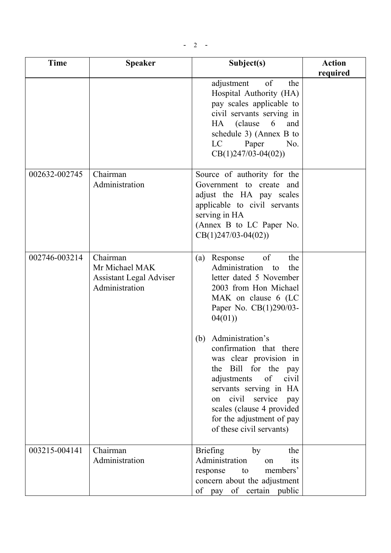| <b>Time</b>   | <b>Speaker</b>                                                                 | Subject(s)                                                                                                                                                                                                                                                                          | <b>Action</b><br>required |
|---------------|--------------------------------------------------------------------------------|-------------------------------------------------------------------------------------------------------------------------------------------------------------------------------------------------------------------------------------------------------------------------------------|---------------------------|
|               |                                                                                | adjustment<br>of<br>the<br>Hospital Authority (HA)<br>pay scales applicable to<br>civil servants serving in<br>HA (clause<br>6<br>and<br>schedule 3) (Annex B to<br>LC<br>Paper<br>No.<br>$CB(1)247/03-04(02))$                                                                     |                           |
| 002632-002745 | Chairman<br>Administration                                                     | Source of authority for the<br>Government to create and<br>adjust the HA pay scales<br>applicable to civil servants<br>serving in HA<br>(Annex B to LC Paper No.<br>$CB(1)247/03-04(02))$                                                                                           |                           |
| 002746-003214 | Chairman<br>Mr Michael MAK<br><b>Assistant Legal Adviser</b><br>Administration | of<br>Response<br>the<br>(a)<br>Administration<br>the<br>to<br>letter dated 5 November<br>2003 from Hon Michael<br>MAK on clause 6 (LC<br>Paper No. CB(1)290/03-<br>04(01)                                                                                                          |                           |
|               |                                                                                | Administration's<br>(b)<br>confirmation that there<br>was clear provision in<br>the Bill for the pay<br>adjustments<br>of<br>civil<br>servants serving in HA<br>civil<br>service<br>on<br>pay<br>scales (clause 4 provided<br>for the adjustment of pay<br>of these civil servants) |                           |
| 003215-004141 | Chairman<br>Administration                                                     | <b>Briefing</b><br>the<br>by<br>Administration<br>its<br>on<br>members'<br>response<br>to<br>concern about the adjustment<br>of pay of certain public                                                                                                                               |                           |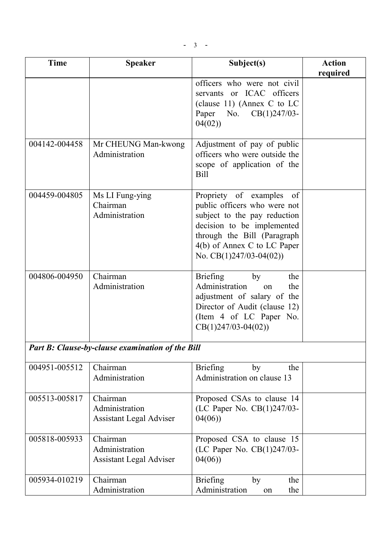| <b>Time</b>   | <b>Speaker</b>                                               | Subject(s)                                                                                                                                                                                                        | <b>Action</b> |
|---------------|--------------------------------------------------------------|-------------------------------------------------------------------------------------------------------------------------------------------------------------------------------------------------------------------|---------------|
|               |                                                              |                                                                                                                                                                                                                   | required      |
|               |                                                              | officers who were not civil<br>servants or ICAC officers<br>(clause 11) (Annex C to LC<br>Paper<br>No. $CB(1)247/03$ -<br>04(02)                                                                                  |               |
| 004142-004458 | Mr CHEUNG Man-kwong<br>Administration                        | Adjustment of pay of public<br>officers who were outside the<br>scope of application of the<br><b>Bill</b>                                                                                                        |               |
| 004459-004805 | Ms LI Fung-ying<br>Chairman<br>Administration                | Propriety of examples of<br>public officers who were not<br>subject to the pay reduction<br>decision to be implemented<br>through the Bill (Paragraph<br>4(b) of Annex C to LC Paper<br>No. $CB(1)247/03-04(02))$ |               |
| 004806-004950 | Chairman<br>Administration                                   | <b>Briefing</b><br>by<br>the<br>Administration<br>the<br>on<br>adjustment of salary of the<br>Director of Audit (clause 12)<br>(Item 4 of LC Paper No.<br>$CB(1)247/03-04(02))$                                   |               |
|               | <b>Part B: Clause-by-clause examination of the Bill</b>      |                                                                                                                                                                                                                   |               |
| 004951-005512 | Chairman                                                     | <b>Briefing</b><br>by<br>the                                                                                                                                                                                      |               |
|               | Administration                                               | Administration on clause 13                                                                                                                                                                                       |               |
| 005513-005817 | Chairman<br>Administration<br><b>Assistant Legal Adviser</b> | Proposed CSAs to clause 14<br>(LC Paper No. CB(1)247/03-<br>04(06)                                                                                                                                                |               |
| 005818-005933 | Chairman<br>Administration<br><b>Assistant Legal Adviser</b> | Proposed CSA to clause 15<br>(LC Paper No. CB(1)247/03-<br>04(06)                                                                                                                                                 |               |
| 005934-010219 | Chairman<br>Administration                                   | <b>Briefing</b><br>by<br>the<br>Administration<br>the<br>on                                                                                                                                                       |               |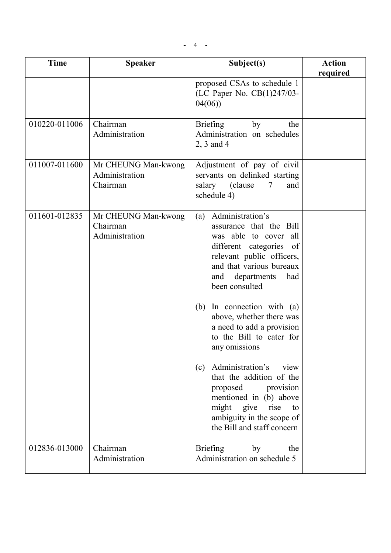| <b>Time</b>   | <b>Speaker</b>                                    | Subject(s)                                                                                                                                                                                                                                                                                                                                                                                                                                                                                                                                                          | <b>Action</b><br>required |
|---------------|---------------------------------------------------|---------------------------------------------------------------------------------------------------------------------------------------------------------------------------------------------------------------------------------------------------------------------------------------------------------------------------------------------------------------------------------------------------------------------------------------------------------------------------------------------------------------------------------------------------------------------|---------------------------|
|               |                                                   | proposed CSAs to schedule 1<br>(LC Paper No. CB(1)247/03-<br>04(06)                                                                                                                                                                                                                                                                                                                                                                                                                                                                                                 |                           |
| 010220-011006 | Chairman<br>Administration                        | <b>Briefing</b><br>the<br>by<br>Administration on schedules<br>$2, 3$ and 4                                                                                                                                                                                                                                                                                                                                                                                                                                                                                         |                           |
| 011007-011600 | Mr CHEUNG Man-kwong<br>Administration<br>Chairman | Adjustment of pay of civil<br>servants on delinked starting<br>salary (clause)<br>7<br>and<br>schedule 4)                                                                                                                                                                                                                                                                                                                                                                                                                                                           |                           |
| 011601-012835 | Mr CHEUNG Man-kwong<br>Chairman<br>Administration | Administration's<br>(a)<br>assurance that the Bill<br>was able to cover<br>all<br>different categories of<br>relevant public officers,<br>and that various bureaux<br>departments<br>had<br>and<br>been consulted<br>In connection with $(a)$<br>(b)<br>above, whether there was<br>a need to add a provision<br>to the Bill to cater for<br>any omissions<br>Administration's<br>(c)<br>view<br>that the addition of the<br>proposed<br>provision<br>mentioned in (b) above<br>might give<br>rise<br>to<br>ambiguity in the scope of<br>the Bill and staff concern |                           |
| 012836-013000 | Chairman<br>Administration                        | <b>Briefing</b><br>by<br>the<br>Administration on schedule 5                                                                                                                                                                                                                                                                                                                                                                                                                                                                                                        |                           |